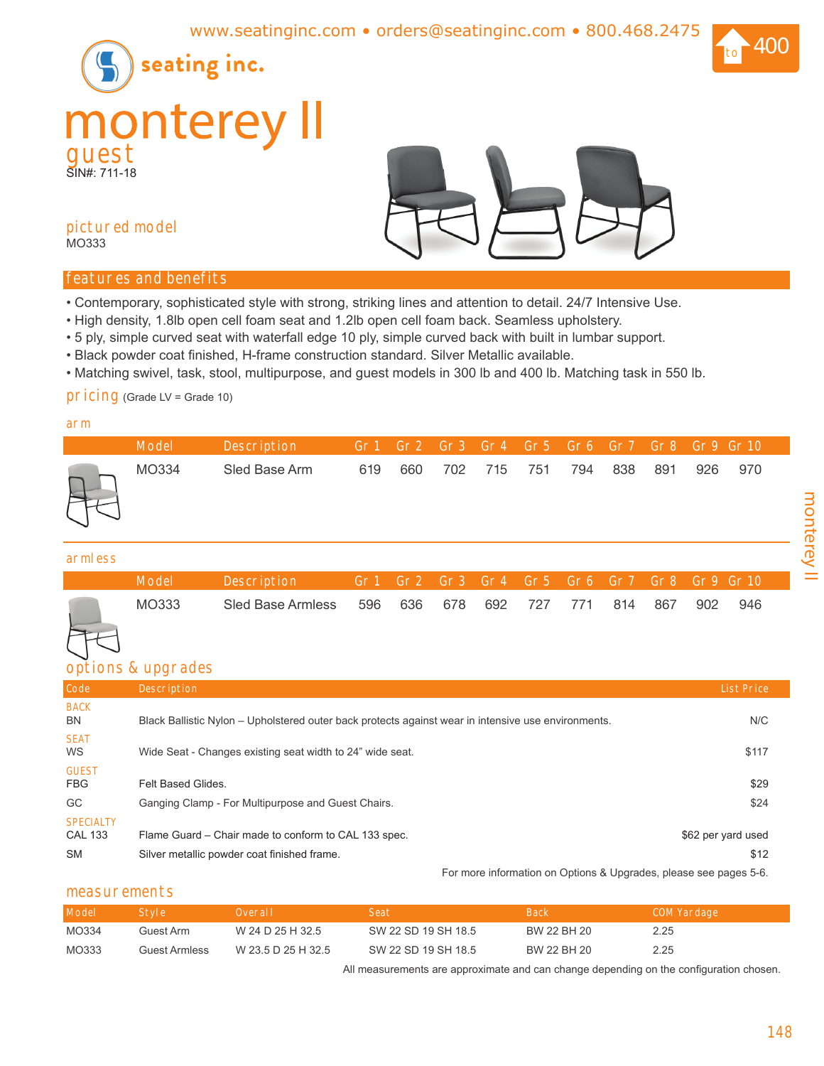



## **pictured model** MO333

# **features and benefits**

- Contemporary, sophisticated style with strong, striking lines and attention to detail. 24/7 Intensive Use.
- High density, 1.8lb open cell foam seat and 1.2lb open cell foam back. Seamless upholstery.
- 5 ply, simple curved seat with waterfall edge 10 ply, simple curved back with built in lumbar support.
- Black powder coat finished, H-frame construction standard. Silver Metallic available.
- Matching swivel, task, stool, multipurpose, and guest models in 300 lb and 400 lb. Matching task in 550 lb.

## **pricing** (Grade LV = Grade 10)

## **arm**

| <b>Model</b> | Description   |     |     |             | Gr1 Gr2 Gr3 Gr4 Gr5 Gr6 Gr7 Gr8 Gr9 Gr10 |     |     |     |     |       |
|--------------|---------------|-----|-----|-------------|------------------------------------------|-----|-----|-----|-----|-------|
| MO334        | Sled Base Arm | 619 | 660 | 702 715 751 |                                          | 794 | 838 | 891 | 926 | - 970 |

## **armless**

| Model | <b>Description</b> |         |             |     |      |     | Gr1 Gr2 Gr3 Gr4 Gr5 Gr6 Gr7 Gr8 Gr9 Gr10 |     |
|-------|--------------------|---------|-------------|-----|------|-----|------------------------------------------|-----|
| MO333 | Sled Base Armless  | 596 636 | 678 692 727 | 771 | -814 | 867 | 902                                      | 946 |

# **options & upgrades**

| Code                                            | <b>Description</b>                                                                                  | <b>List Price</b>          |
|-------------------------------------------------|-----------------------------------------------------------------------------------------------------|----------------------------|
| <b>BACK</b><br>BN                               | Black Ballistic Nylon – Upholstered outer back protects against wear in intensive use environments. | N/C                        |
| <b>SEAT</b><br><b>WS</b>                        | Wide Seat - Changes existing seat width to 24" wide seat.                                           | \$117                      |
| <b>GUEST</b><br><b>FBG</b>                      | Felt Based Glides.                                                                                  | \$29                       |
| GC                                              | Ganging Clamp - For Multipurpose and Guest Chairs.                                                  | \$24                       |
| <b>SPECIALTY</b><br><b>CAL 133</b><br><b>SM</b> | Flame Guard – Chair made to conform to CAL 133 spec.<br>Silver metallic powder coat finished frame. | \$62 per yard used<br>\$12 |

For more information on Options & Upgrades, please see pages 5-6.

## **measurements**

| Model | Style 2              | Overall            | <b>Seat</b>         | <b>Back</b> | COM Yardage |
|-------|----------------------|--------------------|---------------------|-------------|-------------|
| MO334 | Guest Arm            | W 24 D 25 H 32.5   | SW 22 SD 19 SH 18.5 | BW 22 BH 20 | 2.25        |
| MO333 | <b>Guest Armless</b> | W 23.5 D 25 H 32.5 | SW 22 SD 19 SH 18.5 | BW 22 BH 20 | 2.25        |

All measurements are approximate and can change depending on the configuration chosen.